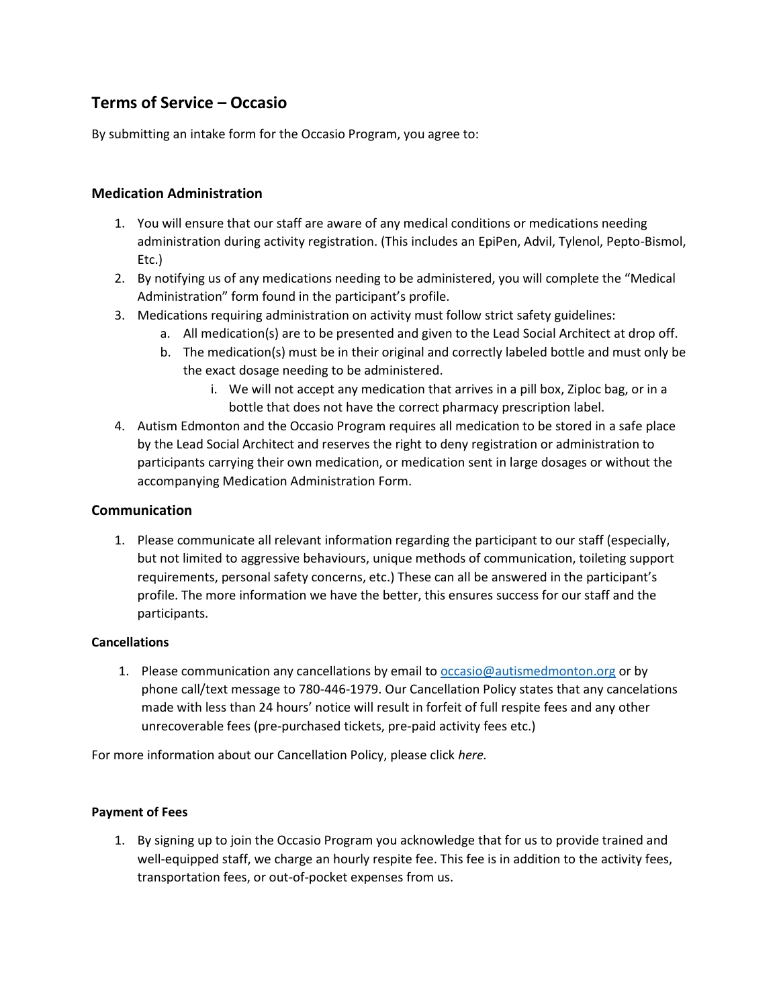# **Terms of Service – Occasio**

By submitting an intake form for the Occasio Program, you agree to:

# **Medication Administration**

- 1. You will ensure that our staff are aware of any medical conditions or medications needing administration during activity registration. (This includes an EpiPen, Advil, Tylenol, Pepto-Bismol, Etc.)
- 2. By notifying us of any medications needing to be administered, you will complete the "Medical Administration" form found in the participant's profile.
- 3. Medications requiring administration on activity must follow strict safety guidelines:
	- a. All medication(s) are to be presented and given to the Lead Social Architect at drop off.
	- b. The medication(s) must be in their original and correctly labeled bottle and must only be the exact dosage needing to be administered.
		- i. We will not accept any medication that arrives in a pill box, Ziploc bag, or in a bottle that does not have the correct pharmacy prescription label.
- 4. Autism Edmonton and the Occasio Program requires all medication to be stored in a safe place by the Lead Social Architect and reserves the right to deny registration or administration to participants carrying their own medication, or medication sent in large dosages or without the accompanying Medication Administration Form.

## **Communication**

1. Please communicate all relevant information regarding the participant to our staff (especially, but not limited to aggressive behaviours, unique methods of communication, toileting support requirements, personal safety concerns, etc.) These can all be answered in the participant's profile. The more information we have the better, this ensures success for our staff and the participants.

### **Cancellations**

1. Please communication any cancellations by email to [occasio@autismedmonton.org](mailto:occasio@autismedmonton.org) or by phone call/text message to 780-446-1979. Our Cancellation Policy states that any cancelations made with less than 24 hours' notice will result in forfeit of full respite fees and any other unrecoverable fees (pre-purchased tickets, pre-paid activity fees etc.)

For more information about our Cancellation Policy, please click *here.*

### **Payment of Fees**

1. By signing up to join the Occasio Program you acknowledge that for us to provide trained and well-equipped staff, we charge an hourly respite fee. This fee is in addition to the activity fees, transportation fees, or out-of-pocket expenses from us.